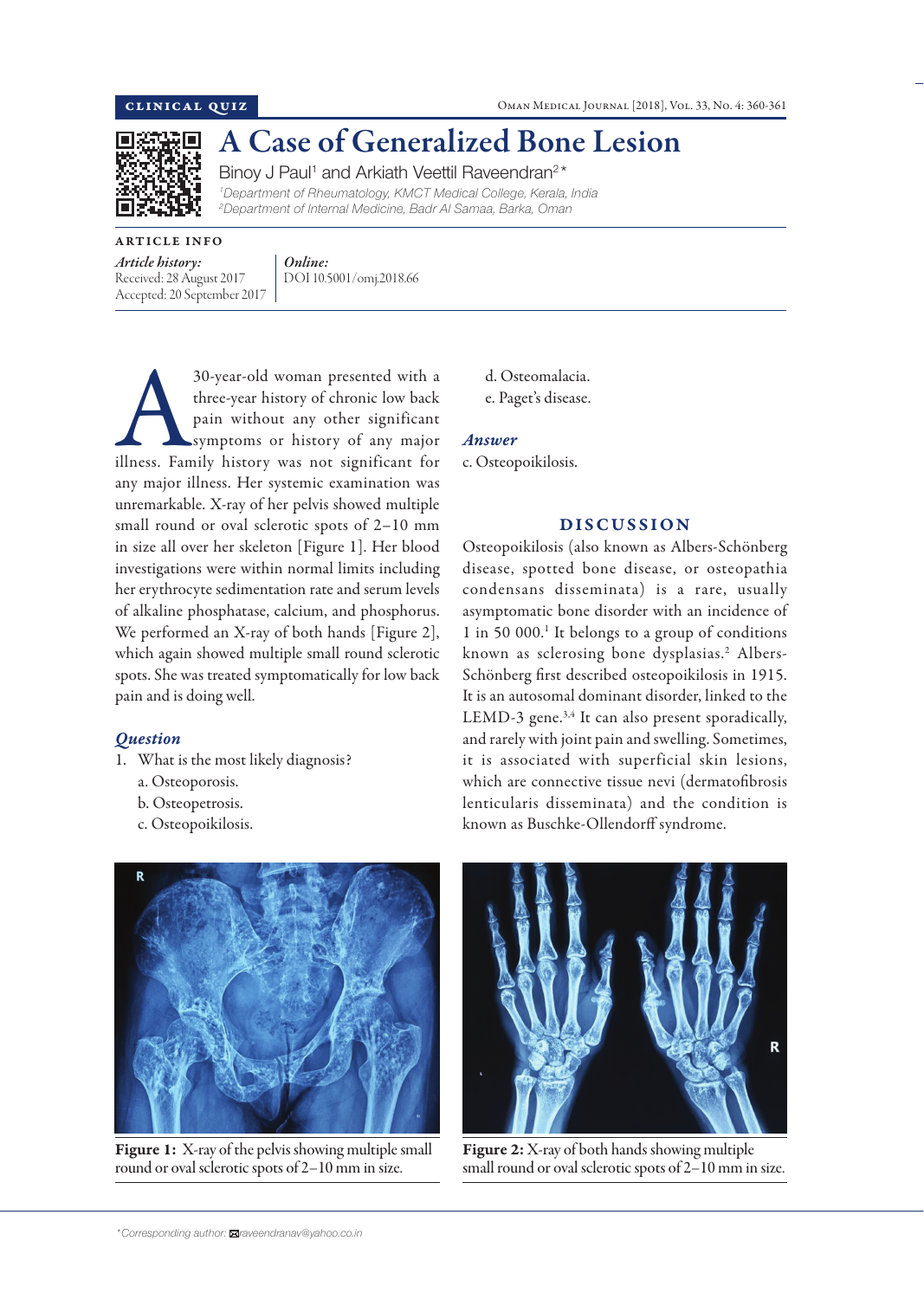

# A Case of Generalized Bone Lesion

Binoy J Paul<sup>1</sup> and Arkiath Veettil Raveendran<sup>2\*</sup>

*1 Department of Rheumatology, KMCT Medical College, Kerala, India 2 Department of Internal Medicine, Badr Al Samaa, Barka, Oman*

ARTICLE INFO *Article history:*  Received: 28 August 2017 Accepted: 20 September 2017

*Online:* DOI 10.5001/omj.2018.66

30-year-old woman presented with a three-year history of chronic low back pain without any other significant symptoms or history of any major illness. Family history was not significant for three-year history of chronic low back pain without any other significant symptoms or history of any major any major illness. Her systemic examination was unremarkable. X-ray of her pelvis showed multiple small round or oval sclerotic spots of 2–10 mm in size all over her skeleton [Figure 1]. Her blood investigations were within normal limits including her erythrocyte sedimentation rate and serum levels of alkaline phosphatase, calcium, and phosphorus. We performed an X-ray of both hands [Figure 2], which again showed multiple small round sclerotic spots. She was treated symptomatically for low back pain and is doing well.

## *Question*

- 1. What is the most likely diagnosis?
	- a. Osteoporosis.
	- b. Osteopetrosis.
	- c. Osteopoikilosis.



Figure 1: X-ray of the pelvis showing multiple small round or oval sclerotic spots of 2–10 mm in size.

- d. Osteomalacia.
- e. Paget's disease.

### *Answer*

c. Osteopoikilosis.

### DISCUSSION

Osteopoikilosis (also known as Albers-Schönberg disease, spotted bone disease, or osteopathia condensans disseminata) is a rare, usually asymptomatic bone disorder with an incidence of 1 in 50 000.1 It belongs to a group of conditions known as sclerosing bone dysplasias.<sup>2</sup> Albers-Schönberg first described osteopoikilosis in 1915. It is an autosomal dominant disorder, linked to the LEMD-3 gene. $3,4$  It can also present sporadically, and rarely with joint pain and swelling. Sometimes, it is associated with superficial skin lesions, which are connective tissue nevi (dermatofibrosis lenticularis disseminata) and the condition is known as Buschke-Ollendorff syndrome.



Figure 2: X-ray of both hands showing multiple small round or oval sclerotic spots of 2–10 mm in size.